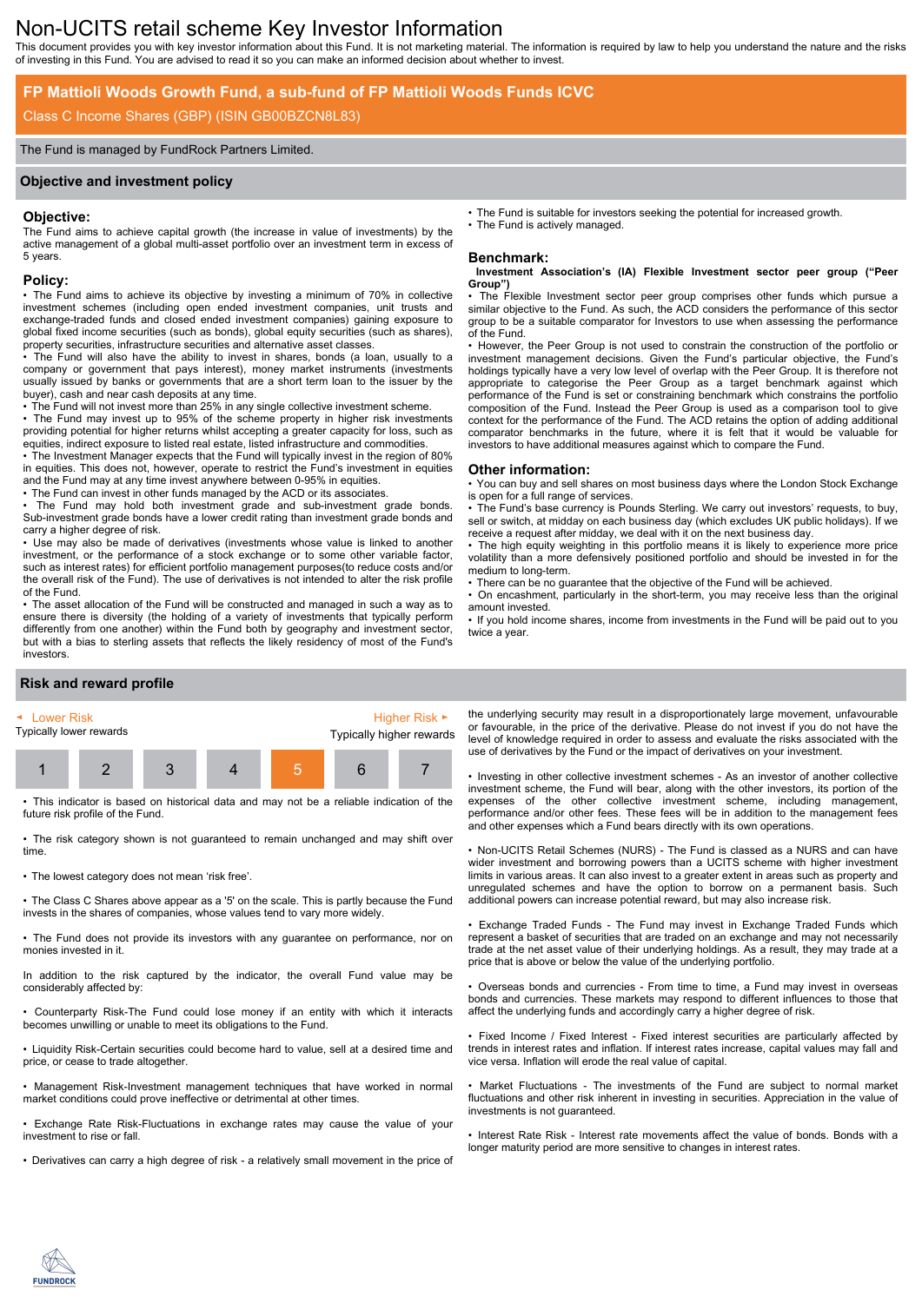# Non-UCITS retail scheme Key Investor Information

This document provides you with key investor information about this Fund. It is not marketing material. The information is required by law to help you understand the nature and the risks of investing in this Fund. You are advised to read it so you can make an informed decision about whether to invest.

## **FP Mattioli Woods Growth Fund, a sub-fund of FP Mattioli Woods Funds ICVC**

# Class C Income Shares (GBP) (ISIN GB00BZCN8L83)

## The Fund is managed by FundRock Partners Limited.

## **Objective and investment policy**

## **Objective:**

The Fund aims to achieve capital growth (the increase in value of investments) by the active management of a global multi-asset portfolio over an investment term in excess of 5 years.

## **Policy:**

• The Fund aims to achieve its objective by investing a minimum of 70% in collective investment schemes (including open ended investment companies, unit trusts and exchange-traded funds and closed ended investment companies) gaining exposure to global fixed income securities (such as bonds), global equity securities (such as shares), property securities, infrastructure securities and alternative asset classes.

• The Fund will also have the ability to invest in shares, bonds (a loan, usually to a company or government that pays interest), money market instruments (investments usually issued by banks or governments that are a short term loan to the issuer by the buyer), cash and near cash deposits at any time.

• The Fund will not invest more than 25% in any single collective investment scheme.

• The Fund may invest up to 95% of the scheme property in higher risk investments providing potential for higher returns whilst accepting a greater capacity for loss, such as equities, indirect exposure to listed real estate, listed infrastructure and commodities.

• The Investment Manager expects that the Fund will typically invest in the region of 80% in equities. This does not, however, operate to restrict the Fund's investment in equities and the Fund may at any time invest anywhere between 0-95% in equities.

• The Fund can invest in other funds managed by the ACD or its associates.

The Fund may hold both investment grade and sub-investment grade bonds. Sub-investment grade bonds have a lower credit rating than investment grade bonds and carry a higher degree of risk.

• Use may also be made of derivatives (investments whose value is linked to another investment, or the performance of a stock exchange or to some other variable factor, such as interest rates) for efficient portfolio management purposes(to reduce costs and/or the overall risk of the Fund). The use of derivatives is not intended to alter the risk profile of the Fund.

• The asset allocation of the Fund will be constructed and managed in such a way as to ensure there is diversity (the holding of a variety of investments that typically perform differently from one another) within the Fund both by geography and investment sector, but with a bias to sterling assets that reflects the likely residency of most of the Fund's investors.

• The Fund is suitable for investors seeking the potential for increased growth. The Fund is actively managed.

## **Benchmark:**

#### **Investment Association's (IA) Flexible Investment sector peer group ("Peer Group")**

The Flexible Investment sector peer group comprises other funds which pursue a similar objective to the Fund. As such, the ACD considers the performance of this sector group to be a suitable comparator for Investors to use when assessing the performance of the Fund.

• However, the Peer Group is not used to constrain the construction of the portfolio or investment management decisions. Given the Fund's particular objective, the Fund's holdings typically have a very low level of overlap with the Peer Group. It is therefore not appropriate to categorise the Peer Group as a target benchmark against which performance of the Fund is set or constraining benchmark which constrains the portfolio composition of the Fund. Instead the Peer Group is used as a comparison tool to give context for the performance of the Fund. The ACD retains the option of adding additional comparator benchmarks in the future, where it is felt that it would be valuable for investors to have additional measures against which to compare the Fund.

#### **Other information:**

• You can buy and sell shares on most business days where the London Stock Exchange is open for a full range of services.

• The Fund's base currency is Pounds Sterling. We carry out investors' requests, to buy, sell or switch, at midday on each business day (which excludes UK public holidays). If we receive a request after midday, we deal with it on the next business day.

• The high equity weighting in this portfolio means it is likely to experience more price volatility than a more defensively positioned portfolio and should be invested in for the medium to long-term.

There can be no guarantee that the objective of the Fund will be achieved.

• On encashment, particularly in the short-term, you may receive less than the original amount invested.

• If you hold income shares, income from investments in the Fund will be paid out to you twice a year.

# **Risk and reward profile**



• This indicator is based on historical data and may not be a reliable indication of the future risk profile of the Fund.

• The risk category shown is not guaranteed to remain unchanged and may shift over time.

• The lowest category does not mean 'risk free'.

• The Class C Shares above appear as a '5' on the scale. This is partly because the Fund invests in the shares of companies, whose values tend to vary more widely.

• The Fund does not provide its investors with any guarantee on performance, nor on monies invested in it.

In addition to the risk captured by the indicator, the overall Fund value may be considerably affected by:

• Counterparty Risk-The Fund could lose money if an entity with which it interacts becomes unwilling or unable to meet its obligations to the Fund.

• Liquidity Risk-Certain securities could become hard to value, sell at a desired time and price, or cease to trade altogether.

• Management Risk-Investment management techniques that have worked in normal market conditions could prove ineffective or detrimental at other times.

• Exchange Rate Risk-Fluctuations in exchange rates may cause the value of your investment to rise or fall.

• Derivatives can carry a high degree of risk - a relatively small movement in the price of

the underlying security may result in a disproportionately large movement, unfavourable or favourable, in the price of the derivative. Please do not invest if you do not have the level of knowledge required in order to assess and evaluate the risks associated with the use of derivatives by the Fund or the impact of derivatives on your investment.

• Investing in other collective investment schemes - As an investor of another collective investment scheme, the Fund will bear, along with the other investors, its portion of the expenses of the other collective investment scheme, including management, performance and/or other fees. These fees will be in addition to the management fees and other expenses which a Fund bears directly with its own operations.

• Non-UCITS Retail Schemes (NURS) - The Fund is classed as a NURS and can have wider investment and borrowing powers than a UCITS scheme with higher investment limits in various areas. It can also invest to a greater extent in areas such as property and unregulated schemes and have the option to borrow on a permanent basis. Such additional powers can increase potential reward, but may also increase risk.

• Exchange Traded Funds - The Fund may invest in Exchange Traded Funds which represent a basket of securities that are traded on an exchange and may not necessarily trade at the net asset value of their underlying holdings. As a result, they may trade at a price that is above or below the value of the underlying portfolio.

• Overseas bonds and currencies - From time to time, a Fund may invest in overseas bonds and currencies. These markets may respond to different influences to those that affect the underlying funds and accordingly carry a higher degree of risk.

• Fixed Income / Fixed Interest - Fixed interest securities are particularly affected by trends in interest rates and inflation. If interest rates increase, capital values may fall and vice versa. Inflation will erode the real value of capital.

• Market Fluctuations - The investments of the Fund are subject to normal market fluctuations and other risk inherent in investing in securities. Appreciation in the value of investments is not guaranteed.

• Interest Rate Risk - Interest rate movements affect the value of bonds. Bonds with a longer maturity period are more sensitive to changes in interest rates.